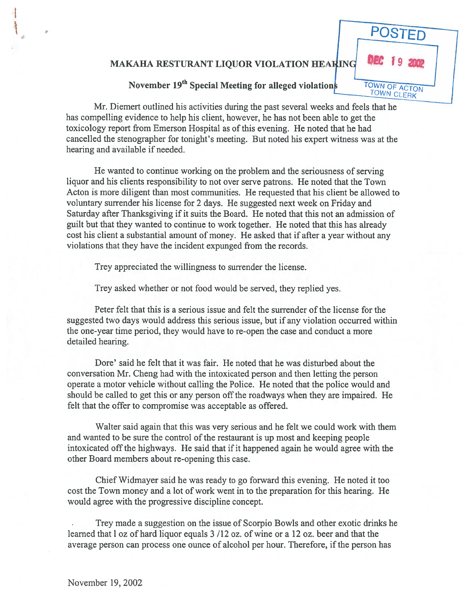## MAKAHA RESTURANT LIQUOR VIOLATION

## **POSTED** TOWN OF ACTON TOWN CLERK

November  $19<sup>th</sup>$  Special Meeting for alleged violations

Mr. Diemert outlined his activities during the pas<sup>t</sup> several weeks and feels that he has compelling evidence to help his client, however, he has not been able to ge<sup>t</sup> the toxicology repor<sup>t</sup> from Emerson Hospital as of this evening. He noted that he had cancelled the stenographer for tonight's meeting. But noted his exper<sup>t</sup> witness was at the hearing and available if needed.

He wanted to continue working on the problem and the seriousness of serving liquor and his clients responsibility to not over serve patrons. He noted that the Town Acton is more diligent than most communities. He requested that his client be allowed to voluntary surrender his license for 2 days. He suggested next week on Friday and Saturday after Thanksgiving if it suits the Board. He noted that this not an admission of guilt but that they wanted to continue to work together. He noted that this has already cost his client <sup>a</sup> substantial amount of money. He asked that if after <sup>a</sup> year without any violations that they have the incident expunged from the records.

Trey appreciated the willingness to surrender the license.

Trey asked whether or not food would be served, they replied yes.

Peter felt that this is <sup>a</sup> serious issue and felt the surrender of the license for the suggested two days would address this serious issue, but if any violation occurred within the one-year time period, they would have to re-open the case and conduct <sup>a</sup> more detailed hearing.

Dore' said he felt that it was fair. He noted that he was disturbed about the conversation Mr. Cheng had with the intoxicated person and then letting the person operate <sup>a</sup> motor vehicle without calling the Police. He noted that the police would and should be called to get this or any person off the roadways when they are impaired. He felt that the offer to compromise was acceptable as offered.

Walter said again that this was very serious and he felt we could work with them and wanted to be sure the control of the restaurant is up most and keeping people intoxicated off the highways. He said that if it happened again he would agree with the other Board members about re-opening this case.

Chief Widmayer said he was ready to go forward this evening. He noted it too cost the Town money and <sup>a</sup> lot of work went in to the preparation for this hearing. He would agree with the progressive discipline concept.

Trey made <sup>a</sup> suggestion on the issue of Scorpio Bowls and other exotic drinks he learned that l oz of hard liquor equals 3 /12 oz. of wine or a 12 oz. beer and that the average person can process one ounce of alcohol per hour. Therefore, if the person has